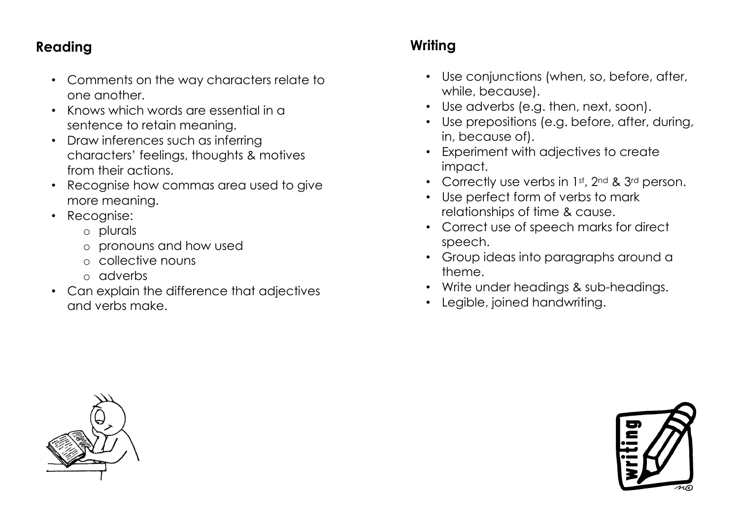## **Reading**

- Comments on the way characters relate to one another.
- Knows which words are essential in a sentence to retain meaning.
- Draw inferences such as inferring characters' feelings, thoughts & motives from their actions.
- Recognise how commas area used to give more meaning.
- Recognise:
	- o plurals
	- o pronouns and how used
	- o collective nouns
	- o adverbs
- Can explain the difference that adjectives and verbs make.

# **Writing**

- Use conjunctions (when, so, before, after, while, because).
- Use adverbs (e.g. then, next, soon).
- Use prepositions (e.g. before, after, during, in, because of).
- Experiment with adjectives to create impact.
- Correctly use verbs in 1st, 2nd & 3rd person.
- Use perfect form of verbs to mark relationships of time & cause.
- Correct use of speech marks for direct speech.
- Group ideas into paragraphs around a theme.
- Write under headings & sub-headings.
- Legible, joined handwriting.